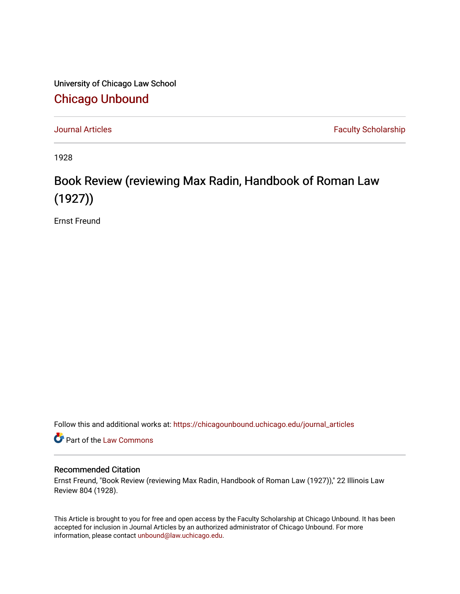University of Chicago Law School [Chicago Unbound](https://chicagounbound.uchicago.edu/)

[Journal Articles](https://chicagounbound.uchicago.edu/journal_articles) **Faculty Scholarship Journal Articles** 

1928

## Book Review (reviewing Max Radin, Handbook of Roman Law (1927))

Ernst Freund

Follow this and additional works at: [https://chicagounbound.uchicago.edu/journal\\_articles](https://chicagounbound.uchicago.edu/journal_articles?utm_source=chicagounbound.uchicago.edu%2Fjournal_articles%2F7799&utm_medium=PDF&utm_campaign=PDFCoverPages) 

Part of the [Law Commons](http://network.bepress.com/hgg/discipline/578?utm_source=chicagounbound.uchicago.edu%2Fjournal_articles%2F7799&utm_medium=PDF&utm_campaign=PDFCoverPages)

## Recommended Citation

Ernst Freund, "Book Review (reviewing Max Radin, Handbook of Roman Law (1927))," 22 Illinois Law Review 804 (1928).

This Article is brought to you for free and open access by the Faculty Scholarship at Chicago Unbound. It has been accepted for inclusion in Journal Articles by an authorized administrator of Chicago Unbound. For more information, please contact [unbound@law.uchicago.edu](mailto:unbound@law.uchicago.edu).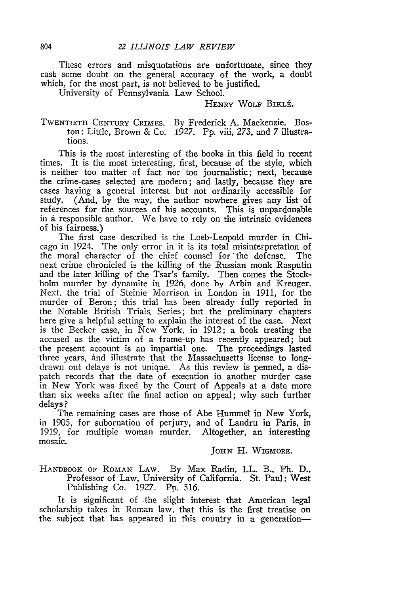These errors and misquotations are unfortunate, since they cast some doubt on the general accuracy of the work, a doubt which, for the most part, is not believed to be justified.

University of Pennsylvania Law School.

## HENRY WOLF BIKLÉ.

## TWENTIETH CENTURY CRIMES. By Frederick A. Mackenzie. Boston: Little, Brown & Co. 1927. Pp. viii, 273, and 7 illustrations.

This is the most interesting of the books in this field in recent times. It is the most interesting, first, because of the style, which is neither too matter of fact nor too journalistic; next, because the crime-cases selected are modern; and lastly, because they are cases having a general interest but not ordinarily accessible for study. (And, by the way, the author nowhere gives any list of references for the sources of his accounts. This is unpardonable in ai responsible author. We have to rely on the intrinsic evidences of his fairness.)

The first case described is the Loeb-Leopold murder in Chicago in 1924. The only error in it is its total misinterpretation of the moral character of the chief counsel for 'the defense. The next crime chronicled is the killing of the Russian monk Rasputin and the later killing of the Tsar's family. Then comes the Stockholm murder by dynamite in 1926, done by Arbin and Kreuger. Next, the trial of Steinie Morrison in London in 1911, for the murder of Beron; this trial has been already fully reported in the Notable British Trials. Series; but the preliminary chapters here give a helpful setting to explain the interest of the case. Next is the Becker case, in New York, in 1912; a book treating the accused as the victim of a frame-up has recently appeared; but the present account is an impartial one. The proceedings lasted three years, and illustrate that the Massachusetts license to longdrawn out delays is not unique. As this review is penned, a dispatch records that the date of execution in another murder case in New York was fixed by the Court of Appeals at a date more than six weeks after the final action on appeal; why such further delays?

The remaining cases are those of Abe Hummel in New York, in 1905, for subornation of perjury, and of Landru in Paris, in 1919, for multiple woman murder. Altogether, an interesting mosaic.

*JOHN* H. **WIGMORE.**

HANDBOOK **OF ROMAN** LAW. By Max Radin, LL. B., Ph. D., Professor of Law, University of California. St. Paul: West Publishing Co. 1927. Pp. 516.

It is significant of the slight interest that American legal scholarship takes in Roman law, that this is the first treatise on the subject that has appeared in this country in a generation-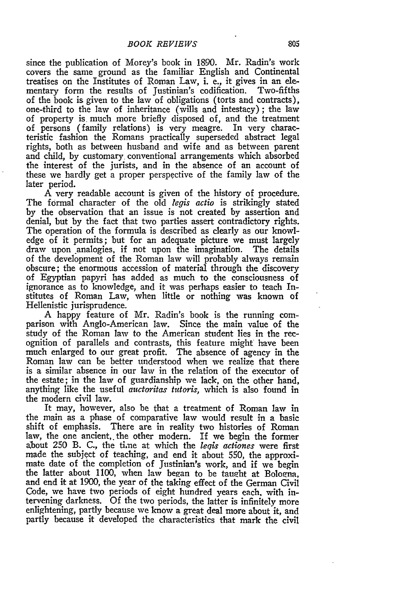since the publication of Morey's book in 1890. Mr. Radin's work covers the same ground as the familiar English and Continental treatises on the Institutes of Roman Law, i. e., it gives in an elementary form the results of Justinian's codification. of the book is given to the law of obligations (torts and contracts), one-third to the law of inheritance (wills and intestacy) ; the law of property is. much more briefly disposed of, and the treatment of persons (family relations) is very meagre. In very characteristic fashion the Romans practically superseded abstract legal rights, both as between husband and wife and as between parent and child, by customary. conventional arrangements which absorbed the interest of the jurists, and in the absence of an account of these we hardly get a proper perspective of the family law of the later period.

A very readable account is given of the history of procedure. The formal character of the old *fegis actio* is strikingly stated by the observation that an issue is not created by assertion and denial, but by the fact that two parties assert contradictory rights. The operation of the formula is described as clearly as our knowledge of it permits; but for an adequate picture we must largely draw upon analogies, if not upon the imagination. The details of the development of the Roman law will probably always remain obscure; the enormous accession of material through the discovery of Egyptian papyri has added as much to the consciousness of ignorance as to knowledge, and it was perhaps easier to teach Institutes of Roman Law, when little or nothing was known of Hellenistic jurisprudence.

A happy feature of Mr. Radin's book is the running comparison with Anglo-American law. Since the main value of the study of the Roman law to the American student lies in the recognition of parallels and contrasts, this feature might' have been much enlarged to our great profit. The absence of agency in the Roman law can be better understood when we realize that there is a similar absence in our law in the relation of the executor of the estate; in the law of guardianship we lack, on the other hand, anything like the useful *auctoritas tutoris,* which is also found in the modern civil law.

It may, however, also be that a treatment of Roman law in the main as a phase of comparative law would result in a basic shift of emphasis. There are in reality two histories of Roman law, the one ancient,, the other modern. If we begin the former about 250 B. C., the time at which the *leqis actiones* were first made the subject of teaching, and end it about 550, the approximate date of the completion of Justinian's work, and if we begin the latter about 1100, when law began to be taught at Bologna, and end it at 1900, the year of the taking effect of the German Civil Code, we have two periods of eight hundred years each, with intervening darkness. Of the two periods, the latter is infinitely more enlightening, partly because we know a great deal more about it, and partly because it developed the characteristics that mark the civil